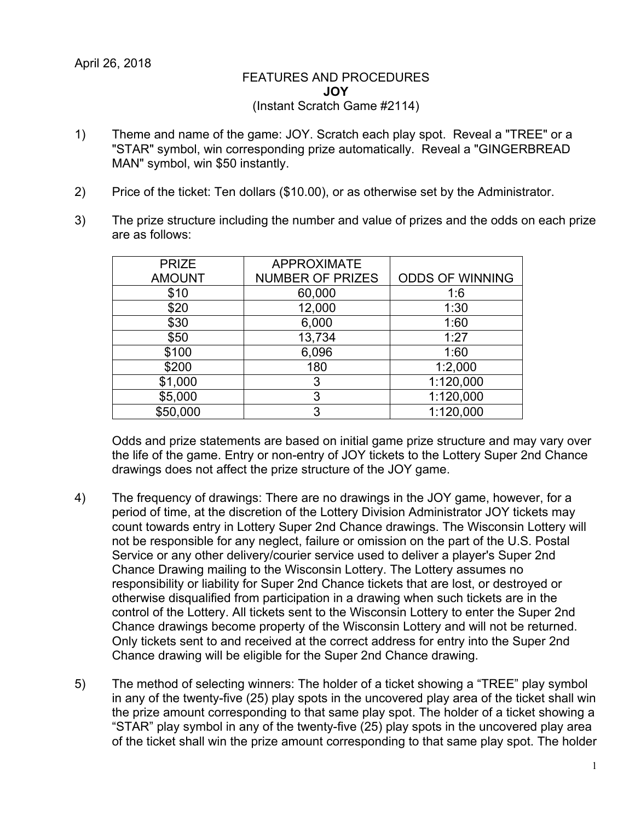## FEATURES AND PROCEDURES **JOY** (Instant Scratch Game #2114)

- 1) Theme and name of the game: JOY. Scratch each play spot. Reveal a "TREE" or a "STAR" symbol, win corresponding prize automatically. Reveal a "GINGERBREAD MAN" symbol, win \$50 instantly.
- 2) Price of the ticket: Ten dollars (\$10.00), or as otherwise set by the Administrator.
- 3) The prize structure including the number and value of prizes and the odds on each prize are as follows:

| <b>PRIZE</b>  | <b>APPROXIMATE</b>      |                        |
|---------------|-------------------------|------------------------|
| <b>AMOUNT</b> | <b>NUMBER OF PRIZES</b> | <b>ODDS OF WINNING</b> |
| \$10          | 60,000                  | 1:6                    |
| \$20          | 12,000                  | 1:30                   |
| \$30          | 6,000                   | 1:60                   |
| \$50          | 13,734                  | 1:27                   |
| \$100         | 6,096                   | 1:60                   |
| \$200         | 180                     | 1:2,000                |
| \$1,000       | 3                       | 1:120,000              |
| \$5,000       | 3                       | 1:120,000              |
| \$50,000      | 3                       | 1:120,000              |

Odds and prize statements are based on initial game prize structure and may vary over the life of the game. Entry or non-entry of JOY tickets to the Lottery Super 2nd Chance drawings does not affect the prize structure of the JOY game.

- 4) The frequency of drawings: There are no drawings in the JOY game, however, for a period of time, at the discretion of the Lottery Division Administrator JOY tickets may count towards entry in Lottery Super 2nd Chance drawings. The Wisconsin Lottery will not be responsible for any neglect, failure or omission on the part of the U.S. Postal Service or any other delivery/courier service used to deliver a player's Super 2nd Chance Drawing mailing to the Wisconsin Lottery. The Lottery assumes no responsibility or liability for Super 2nd Chance tickets that are lost, or destroyed or otherwise disqualified from participation in a drawing when such tickets are in the control of the Lottery. All tickets sent to the Wisconsin Lottery to enter the Super 2nd Chance drawings become property of the Wisconsin Lottery and will not be returned. Only tickets sent to and received at the correct address for entry into the Super 2nd Chance drawing will be eligible for the Super 2nd Chance drawing.
- 5) The method of selecting winners: The holder of a ticket showing a "TREE" play symbol in any of the twenty-five (25) play spots in the uncovered play area of the ticket shall win the prize amount corresponding to that same play spot. The holder of a ticket showing a "STAR" play symbol in any of the twenty-five (25) play spots in the uncovered play area of the ticket shall win the prize amount corresponding to that same play spot. The holder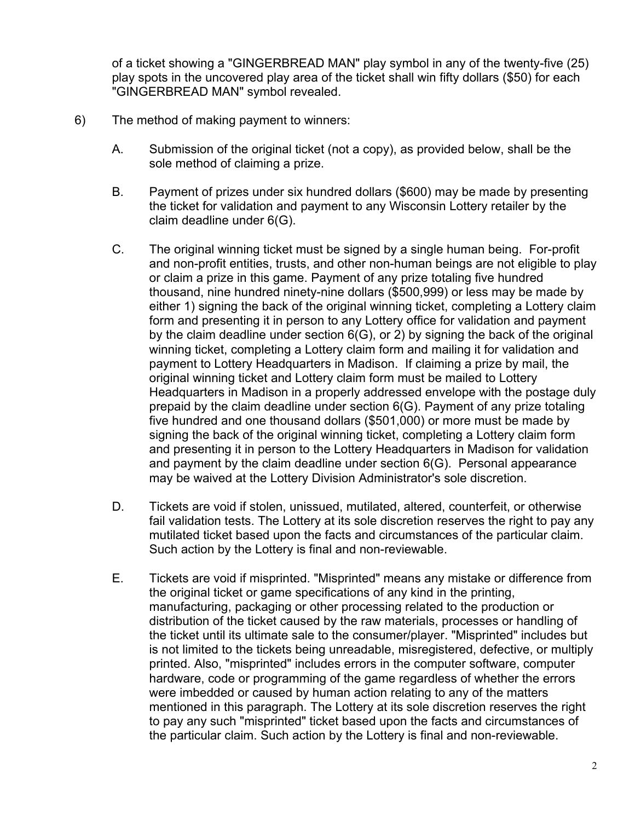of a ticket showing a "GINGERBREAD MAN" play symbol in any of the twenty-five (25) play spots in the uncovered play area of the ticket shall win fifty dollars (\$50) for each "GINGERBREAD MAN" symbol revealed.

- 6) The method of making payment to winners:
	- A. Submission of the original ticket (not a copy), as provided below, shall be the sole method of claiming a prize.
	- B. Payment of prizes under six hundred dollars (\$600) may be made by presenting the ticket for validation and payment to any Wisconsin Lottery retailer by the claim deadline under 6(G).
	- C. The original winning ticket must be signed by a single human being. For-profit and non-profit entities, trusts, and other non-human beings are not eligible to play or claim a prize in this game. Payment of any prize totaling five hundred thousand, nine hundred ninety-nine dollars (\$500,999) or less may be made by either 1) signing the back of the original winning ticket, completing a Lottery claim form and presenting it in person to any Lottery office for validation and payment by the claim deadline under section 6(G), or 2) by signing the back of the original winning ticket, completing a Lottery claim form and mailing it for validation and payment to Lottery Headquarters in Madison. If claiming a prize by mail, the original winning ticket and Lottery claim form must be mailed to Lottery Headquarters in Madison in a properly addressed envelope with the postage duly prepaid by the claim deadline under section 6(G). Payment of any prize totaling five hundred and one thousand dollars (\$501,000) or more must be made by signing the back of the original winning ticket, completing a Lottery claim form and presenting it in person to the Lottery Headquarters in Madison for validation and payment by the claim deadline under section 6(G). Personal appearance may be waived at the Lottery Division Administrator's sole discretion.
	- D. Tickets are void if stolen, unissued, mutilated, altered, counterfeit, or otherwise fail validation tests. The Lottery at its sole discretion reserves the right to pay any mutilated ticket based upon the facts and circumstances of the particular claim. Such action by the Lottery is final and non-reviewable.
	- E. Tickets are void if misprinted. "Misprinted" means any mistake or difference from the original ticket or game specifications of any kind in the printing, manufacturing, packaging or other processing related to the production or distribution of the ticket caused by the raw materials, processes or handling of the ticket until its ultimate sale to the consumer/player. "Misprinted" includes but is not limited to the tickets being unreadable, misregistered, defective, or multiply printed. Also, "misprinted" includes errors in the computer software, computer hardware, code or programming of the game regardless of whether the errors were imbedded or caused by human action relating to any of the matters mentioned in this paragraph. The Lottery at its sole discretion reserves the right to pay any such "misprinted" ticket based upon the facts and circumstances of the particular claim. Such action by the Lottery is final and non-reviewable.